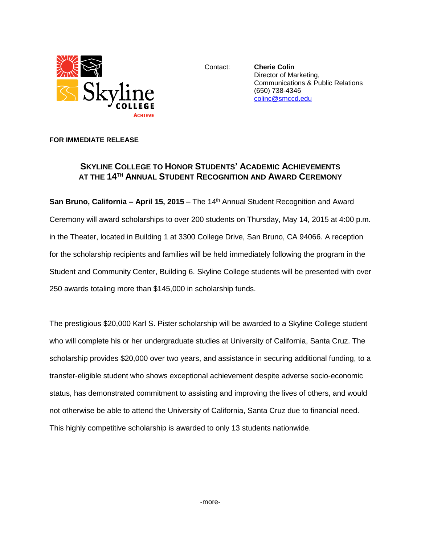

Contact: **Cherie Colin** Director of Marketing, Communications & Public Relations (650) 738-4346 [colinc@smccd.edu](mailto:colinc@smccd.edu)

## **FOR IMMEDIATE RELEASE**

## **SKYLINE COLLEGE TO HONOR STUDENTS' ACADEMIC ACHIEVEMENTS AT THE 14TH ANNUAL STUDENT RECOGNITION AND AWARD CEREMONY**

**San Bruno, California – April 15, 2015** – The 14<sup>th</sup> Annual Student Recognition and Award Ceremony will award scholarships to over 200 students on Thursday, May 14, 2015 at 4:00 p.m. in the Theater, located in Building 1 at 3300 College Drive, San Bruno, CA 94066. A reception for the scholarship recipients and families will be held immediately following the program in the Student and Community Center, Building 6. Skyline College students will be presented with over 250 awards totaling more than \$145,000 in scholarship funds.

The prestigious \$20,000 Karl S. Pister scholarship will be awarded to a Skyline College student who will complete his or her undergraduate studies at University of California, Santa Cruz. The scholarship provides \$20,000 over two years, and assistance in securing additional funding, to a transfer-eligible student who shows exceptional achievement despite adverse socio-economic status, has demonstrated commitment to assisting and improving the lives of others, and would not otherwise be able to attend the University of California, Santa Cruz due to financial need. This highly competitive scholarship is awarded to only 13 students nationwide.